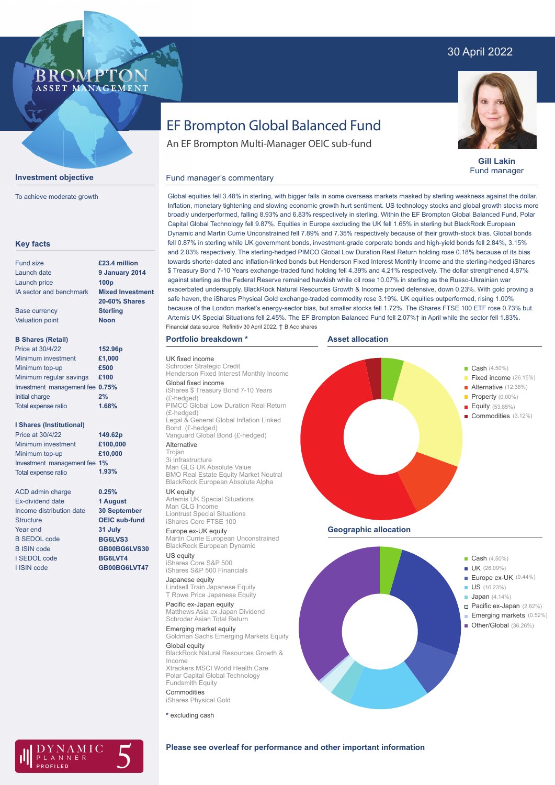## 30 April 2022



**Gill Lakin** Fund manager

Fixed income (26.15%)

Property (0.00%) Equity (53.85%)

## Fund manager's commentary



NNFR

**Investment objective**

**BROMPTO** ASSET MANAGEMENT

To achieve moderate growth

Global equities fell 3.48% in sterling, with bigger falls in some overseas markets masked by sterling weakness against the dollar. Inflation, monetary tightening and slowing economic growth hurt sentiment. US technology stocks and global growth stocks more broadly underperformed, falling 8.93% and 6.83% respectively in sterling. Within the EF Brompton Global Balanced Fund, Polar Capital Global Technology fell 9.87%. Equities in Europe excluding the UK fell 1.65% in sterling but BlackRock European Dynamic and Martin Currie Unconstrained fell 7.89% and 7.35% respectively because of their growth-stock bias. Global bonds fell 0.87% in sterling while UK government bonds, investment-grade corporate bonds and high-yield bonds fell 2.84%, 3.15% and 2.03% respectively. The sterling-hedged PIMCO Global Low Duration Real Return holding rose 0.18% because of its bias towards shorter-dated and inflation-linked bonds but Henderson Fixed Interest Monthly Income and the sterling-hedged iShares \$ Treasury Bond 7-10 Years exchange-traded fund holding fell 4.39% and 4.21% respectively. The dollar strengthened 4.87% against sterling as the Federal Reserve remained hawkish while oil rose 10.07% in sterling as the Russo-Ukrainian war exacerbated undersupply. BlackRock Natural Resources Growth & Income proved defensive, down 0.23%. With gold proving a safe haven, the iShares Physical Gold exchange-traded commodity rose 3.19%. UK equities outperformed, rising 1.00% because of the London market's energy-sector bias, but smaller stocks fell 1.72%. The iShares FTSE 100 ETF rose 0.73% but Artemis UK Special Situations fell 2.45%. The EF Brompton Balanced Fund fell 2.07%† in April while the sector fell 1.83%. Financial data source: Refinitiv 30 April 2022. † B Acc shares

**Asset allocation**

## **Portfolio breakdown \***

UK fixed income chroder Strategic Credit Henderson Fixed Interest Monthly Income Global fixed income iShares \$ Treasury Bond 7-10 Years (£-hedged) PIMCO Global Low Duration Real Return (£-hedged) Legal & General Global Inflation Linked Bond (£-hedged) Vanguard Global Bond (£-hedged) Alternative

#### Trojan

3i Infrastructure Man GLG UK Absolute Value BMO Real Estate Equity Market Neutral BlackRock European Absolute Alpha

## UK equity

Artemis UK Special Situations Man GLG Income Liontrust Special Situations iShares Core FTSE 100

Europe ex-UK equity Martin Currie European Unconstrained BlackRock European Dynamic

US equity iShares Core S&P 500 iShares S&P 500 Financials

Japanese equity Lindsell Train Japanese Equity T Rowe Price Japanese Equity

Pacific ex-Japan equity Matthews Asia ex Japan Dividend Schroder Asian Total Return

Emerging market equity Goldman Sachs Emerging Markets Equity Global equity BlackRock Natural Resources Growth & Income Xtrackers MSCI World Health Care Polar Capital Global Technology Fundsmith Equity Commodities iShares Physical Gold

**\*** excluding cash



**a Cash** (4.50%)

**Alternative** (12.38%)





## **Please see overleaf for performance and other important information**

# EF Brompton Global Balanced Fund An EF Brompton Multi-Manager OEIC sub-fund